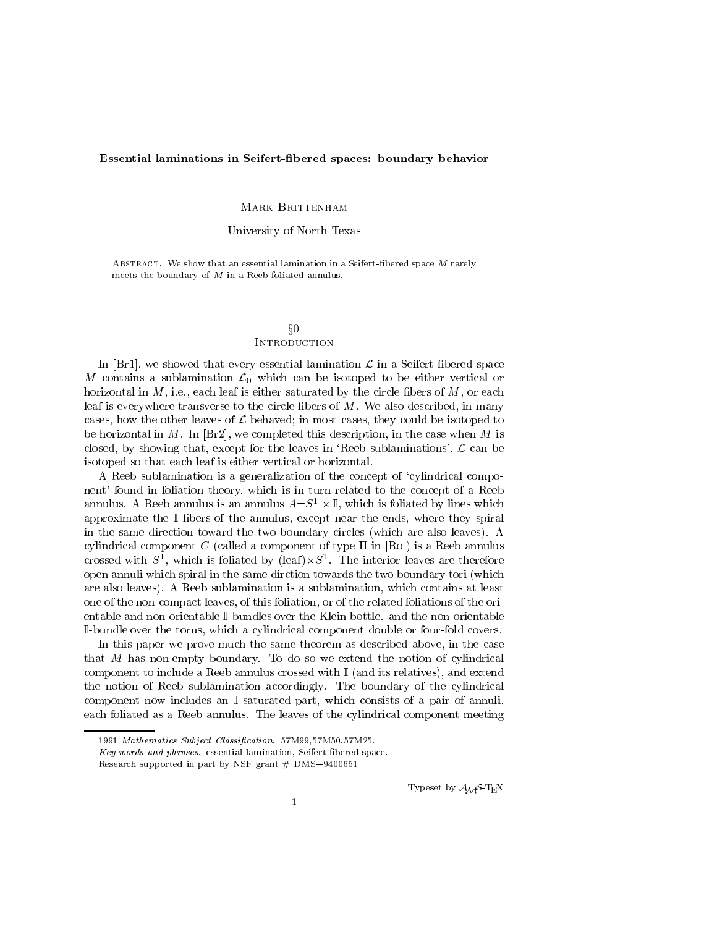## Essential laminations in Seifert-bered spaces: boundary behavior

# Mark Brittenham

# University of North Texas

ABSTRACT. We show that an essential lamination in a Seifert-fibered space  $M$  rarely meets the boundary of <sup>M</sup> in a Reeb-foliated annulus.

# $\S0$ **INTRODUCTION**

In [Br1], we showed that every essential lamination  $\mathcal L$  in a Seifert-fibered space M contains a sublamination  $\mathcal{L}_0$  which can be isotoped to be either vertical or horizontal in  $M$ , i.e., each leaf is either saturated by the circle fibers of  $M$ , or each leaf is everywhere transverse to the circle fibers of  $M$ . We also described, in many cases, how the other leaves of  $\mathcal L$  behaved; in most cases, they could be isotoped to be horizontal in M. In  $|Br2|$ , we completed this description, in the case when M is closed, by showing that, except for the leaves in 'Reeb sublaminations',  $\mathcal L$  can be isotoped so that each leaf is either vertical or horizontal.

A Reeb sublamination is a generalization of the concept of `cylindrical component' found in foliation theory, which is in turn related to the concept of a Reeb annulus. A reep annulus is an annulus  $A = S^+ \times \mathbb{I}$ , which is foliated by fines which approximate the I-bers of the annulus, except near the ends, where they spiral in the same direction toward the two boundary circles (which are also leaves). A cylindrical component C (called a component of type II in  $[Ro]$ ) is a Reeb annulus crossed with  $S$  , which is foliated by (leaf) $\times S$  . The interior leaves are therefore open annuli which spiral in the same dirction towards the two boundary tori (which are also leaves). A Reeb sublamination is a sublamination, which contains at least one of the non-compact leaves, of this foliation, or of the related foliations of the orientable and non-orientable I-bundles over the Klein bottle. and the non-orientable I-bundle over the torus, which a cylindrical component double or four-fold covers.

In this paper we prove much the same theorem as described above, in the case that M has non-empty boundary. To do so we extend the notion of cylindrical component to include a Reeb annulus crossed with  $\mathbb{I}$  (and its relatives), and extend the notion of Reeb sublamination accordingly. The boundary of the cylindrical component now includes an I-saturated part, which consists of a pair of annuli, each foliated as a Reeb annulus. The leaves of the cylindrical component meeting

Typeset by  $A_{\mathcal{M}}S$ -T<sub>E</sub>X

<sup>1991</sup> Mathematics Subject Classication. 57M99,57M50,57M25.

Key words and phrases. essential lamination, Seifert-bered space.

Research supported in part by NSF grant  $#$  DMS-9400651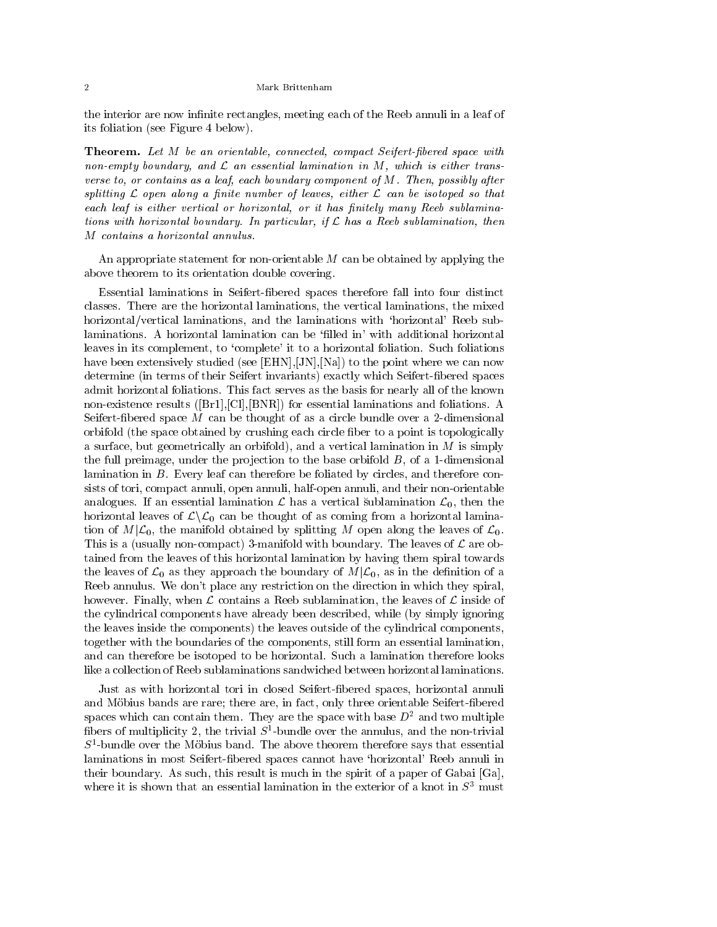#### Mark Brittenham

the interior are now infinite rectangles, meeting each of the Reeb annuli in a leaf of its foliation (see Figure 4 below).

Theorem. Let M be an orientable, connected, compact Seifert-fibered space with non-empty boundary, and <sup>L</sup> an essential lamination in M, which is either transverse to, or contains as a leaf, each boundary component of M. Then, possibly after spitting April 2007 and 2008 a province in the islands of leaves, and the isotoped so that is that is the isotop each leaf is either vertical or horizontal, or it has nitely many Reeb sublaminations with horizontal boundary. In particular, if <sup>L</sup> has a Reeb sublamination, then M contains a horizontal annulus.

An appropriate statement for non-orientable M can be obtained by applying the above theorem to its orientation double covering.

Essential laminations in Seifert-bered spaces therefore fall into four distinct classes. There are the horizontal laminations, the vertical laminations, the mixed horizontal/vertical laminations, and the laminations with `horizontal' Reeb sublaminations. A horizontal lamination can be 'filled in' with additional horizontal leaves in its complement, to 'complete' it to a horizontal foliation. Such foliations have been extensively studied (see [EHN], [JN], [Na]) to the point where we can now determine (in terms of their Seifert invariants) exactly which Seifert-bered spaces admit horizontal foliations. This fact serves as the basis for nearly all of the known non-existence results ([Br1],[Cl],[BNR]) for essential laminations and foliations. A Seifert-fibered space  $M$  can be thought of as a circle bundle over a 2-dimensional orbifold (the space obtained by crushing each circle ber to a point is topologically a surface, but geometrically an orbifold), and a vertical lamination in  $M$  is simply the full preimage, under the projection to the base orbifold  $B$ , of a 1-dimensional lamination in B. Every leaf can therefore be foliated by circles, and therefore consists of tori, compact annuli, open annuli, half-open annuli, and their non-orientable analogues. If an essential lamination  $\mathcal L$  has a vertical sublamination  $\mathcal L_0$ , then the horizontal leaves of  $\mathcal{L}\backslash\mathcal{L}_0$  can be thought of as coming from a horizontal lamination of  $M|\mathcal{L}_0$ , the manifold obtained by splitting M open along the leaves of  $\mathcal{L}_0$ . This is a (usually non-compact) 3-manifold with boundary. The leaves of  $\mathcal L$  are obtained from the leaves of this horizontal lamination by having them spiral towards the leaves of  $\mathcal{L}_0$  as they approach the boundary of  $M|\mathcal{L}_0$ , as in the definition of a Reeb annulus. We don't place any restriction on the direction in which they spiral, however. Finally, when  $\mathcal L$  contains a Reeb sublamination, the leaves of  $\mathcal L$  inside of the cylindrical components have already been described, while (by simply ignoring the leaves inside the components) the leaves outside of the cylindrical components, together with the boundaries of the components, still form an essential lamination, and can therefore be isotoped to be horizontal. Such a lamination therefore looks like a collection of Reeb sublaminations sandwiched between horizontal laminations.

Just as with horizontal tori in closed Seifert-bered spaces, horizontal annuli and Möbius bands are rare; there are, in fact, only three orientable Seifert-fibered spaces which can contain them. They are the space with base  $D^2$  and two multiple nbers of multiplicity  $2$ , the trivial  $S$  -bundle over the annulus, and the non-trivial  $\,$  $5$ -bundle over the Mobius band. The above theorem therefore says that essential  $\,$ laminations in most Seifert-fibered spaces cannot have 'horizontal' Reeb annuli in their boundary. As such, this result is much in the spirit of a paper of Gabai [Ga], where it is shown that an essential lamination in the exterior of a knot in  $S<sup>3</sup>$  must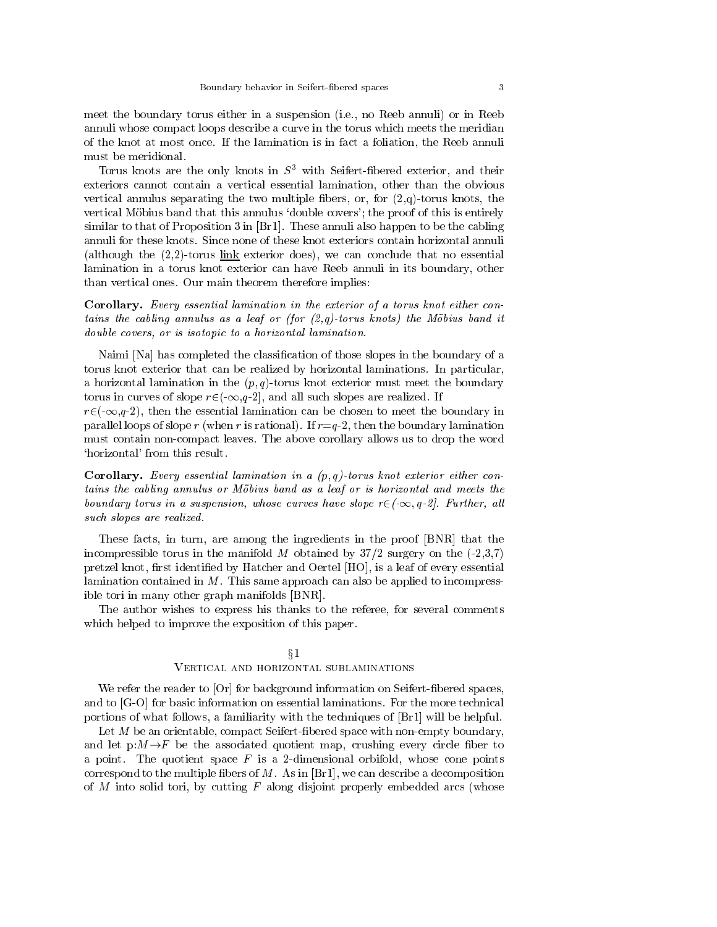meet the boundary torus either in a suspension (i.e., no Reeb annuli) or in Reeb annuli whose compact loops describe a curve in the torus which meets the meridian of the knot at most once. If the lamination is in fact a foliation, the Reeb annuli must be meridional.

Torus knots are the only knots in  $S<sup>3</sup>$  with Seifert-fibered exterior, and their exteriors cannot contain a vertical essential lamination, other than the obvious vertical annulus separating the two multiple fibers, or, for  $(2,q)$ -torus knots, the vertical Möbius band that this annulus 'double covers'; the proof of this is entirely similar to that of Proposition 3 in [Br1]. These annuli also happen to be the cabling annuli for these knots. Since none of these knot exteriors contain horizontal annuli (although the  $(2,2)$ -torus link exterior does), we can conclude that no essential lamination in a torus knot exterior can have Reeb annuli in its boundary, other than vertical ones. Our main theorem therefore implies:

Corollary. Every essential lamination in the exterior of <sup>a</sup> torus knot either contains the cabling annulus as <sup>a</sup> leaf or (for (2,q)-torus knots) the Mobius band it double covers, or is isotopic to a horizontal lamination.

Naimi [Na] has completed the classication of those slopes in the boundary of a torus knot exterior that can be realized by horizontal laminations. In particular, a horizontal lamination in the  $(p, q)$ -torus knot exterior must meet the boundary torus in curves of slope  $r\in(-\infty,q-2]$ , and all such slopes are realized. If

 $r\in(-\infty,q-2)$ , then the essential lamination can be chosen to meet the boundary in parallel loops of slope r (when r is rational). If  $r=q-2$ , then the boundary lamination must contain non-compact leaves. The above corollary allows us to drop the word `horizontal' from this result.

**Corollary.** Every essential lamination in a  $(p,q)$ -torus knot exterior either contains the cabling annulus or Mobius band as <sup>a</sup> leaf or is horizontal and meets the boundary torus in a suspension, whose curves have slope  $r\in(-\infty, q-2]$ . Further, all such slopes are realized.

These facts, in turn, are among the ingredients in the proof [BNR] that the incompressible torus in the manifold M obtained by  $37/2$  surgery on the  $(-2,3,7)$ pretzel knot, first identified by Hatcher and Oertel  $[HO]$ , is a leaf of every essential lamination contained in  $M$ . This same approach can also be applied to incompressible tori in many other graph manifolds [BNR].

The author wishes to express his thanks to the referee, for several comments which helped to improve the exposition of this paper.

## $\S1$

# Vertical and horizontal sublaminations

We refer the reader to  $[Or]$  for background information on Seifert-fibered spaces, and to [G-O] for basic information on essential laminations. For the more technical portions of what follows, a familiarity with the techniques of [Br1] will be helpful.

Let  $M$  be an orientable, compact Seifert-fibered space with non-empty boundary, and let  $p:M\rightarrow F$  be the associated quotient map, crushing every circle fiber to a point. The quotient space  $F$  is a 2-dimensional orbifold, whose cone points correspond to the multiple fibers of  $M$ . As in [Br1], we can describe a decomposition of M into solid tori, by cutting F along disjoint properly embedded arcs (whose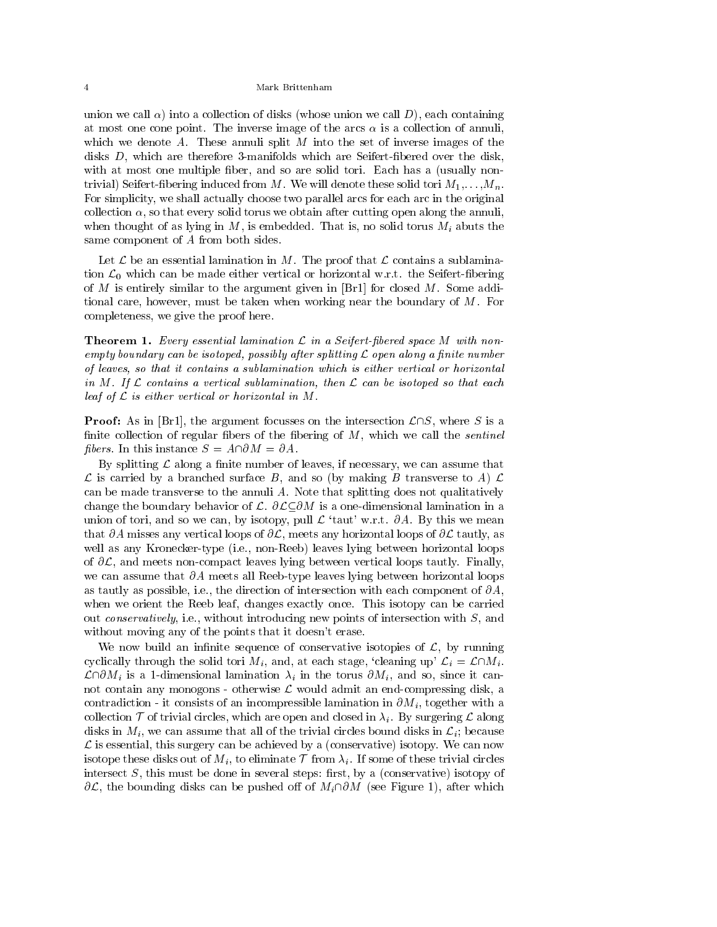union we call  $\alpha$ ) into a collection of disks (whose union we call D), each containing at most one cone point. The inverse image of the arcs  $\alpha$  is a collection of annuli, which we denote A. These annuli split  $M$  into the set of inverse images of the disks  $D$ , which are therefore 3-manifolds which are Seifert-fibered over the disk, with at most one multiple fiber, and so are solid tori. Each has a (usually nontrivial) Seifert-fibering induced from M. We will denote these solid tori  $M_1, \ldots, M_n$ . For simplicity, we shall actually choose two parallel arcs for each arc in the original collection  $\alpha$ , so that every solid torus we obtain after cutting open along the annuli, when thought of as lying in M, is embedded. That is, no solid torus  $M_i$  abuts the same component of A from both sides.

Let  $\mathcal L$  be an essential lamination in M. The proof that  $\mathcal L$  contains a sublamination  $\mathcal{L}_0$  which can be made either vertical or horizontal w.r.t. the Seifert-fibering of  $M$  is entirely similar to the argument given in [Br1] for closed  $M$ . Some additional care, however, must be taken when working near the boundary of M. For completeness, we give the proof here.

**Theorem 1.** Every essential lamination  $\mathcal{L}$  in a Seifert-fibered space M with non $e$ mpty voundary can ve isotoped, possiviy anter spillting  $\mathcal L$  open alony a nilite number of leaves, so that it contains a sublamination which is either vertical or horizontal in  $m$  . If  $L$  comtains a vertical subtainmation, then  $L$  can be isotoped so that each that leaf of <sup>L</sup> is either vertical or horizontal in M.

**Proof:** As in [Br1], the argument focusses on the intersection  $\mathcal{L}\cap S$ , where S is a finite collection of regular fibers of the fibering of  $M$ , which we call the *sentinel fibers.* In this instance  $S = A \cap \partial M = \partial A$ .

By splitting  $\mathcal L$  along a finite number of leaves, if necessary, we can assume that  $\mathcal L$  is carried by a branched surface B, and so (by making B transverse to A)  $\mathcal L$ can be made transverse to the annuli A. Note that splitting does not qualitatively change the boundary behavior of  $\mathcal{L}$ .  $\partial \mathcal{L} \subset \partial M$  is a one-dimensional lamination in a union of tori, and so we can, by isotopy, pull  $\mathcal{L}$  'taut' w.r.t.  $\partial A$ . By this we mean that  $\partial A$  misses any vertical loops of  $\partial \mathcal{L}$ , meets any horizontal loops of  $\partial \mathcal{L}$  tautly, as well as any Kronecker-type (i.e., non-Reeb) leaves lying between horizontal loops of  $\partial \mathcal{L}$ , and meets non-compact leaves lying between vertical loops tautly. Finally, we can assume that  $\partial A$  meets all Reeb-type leaves lying between horizontal loops as tautly as possible, i.e., the direction of intersection with each component of  $\partial A$ , when we orient the Reeb leaf, changes exactly once. This isotopy can be carried out conservatively, i.e., without introducing new points of intersection with S, and without moving any of the points that it doesn't erase.

We now build an infinite sequence of conservative isotopies of  $\mathcal{L}$ , by running cyclically through the solid tori  $M_i$ , and, at each stage, 'cleaning up'  $\mathcal{L}_i = \mathcal{L} \cap M_i$ .  $\mathcal{L}\cap \partial M_i$  is a 1-dimensional lamination  $\lambda_i$  in the torus  $\partial M_i$ , and so, since it cannot contain any monogons - otherwise  $\mathcal L$  would admit an end-compressing disk, a contradiction - it consists of an incompressible lamination in  $\partial M_i$ , together with a collection  $\mathcal T$  of trivial circles, which are open and closed in  $\lambda_i$ . By surgering  $\mathcal L$  along disks in  $M_i$ , we can assume that all of the trivial circles bound disks in  $\mathcal{L}_i$ ; because  $\mathcal L$  is essential, this surgery can be achieved by a (conservative) isotopy. We can now isotope these disks out of  $M_i$ , to eliminate  $\mathcal T$  from  $\lambda_i$ . If some of these trivial circles intersect  $S$ , this must be done in several steps: first, by a (conservative) isotopy of  $\partial \mathcal{L}$ , the bounding disks can be pushed off of  $M_i\cap \partial M$  (see Figure 1), after which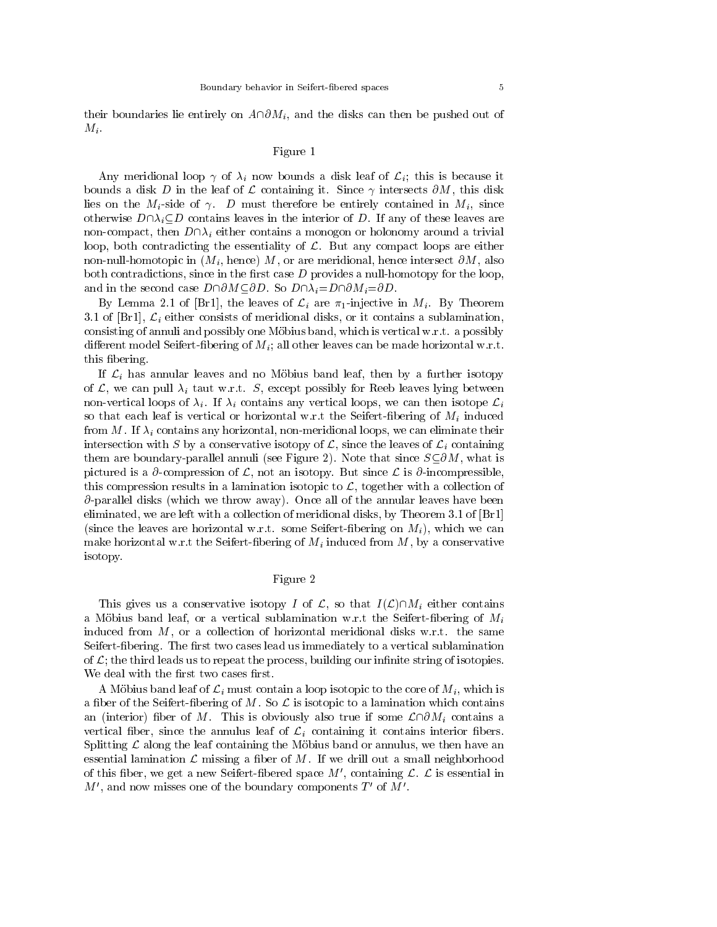their boundaries lie entirely on  $A\cap\partial M_i$ , and the disks can then be pushed out of  $M_i$ .

# Figure 1

Any meridional loop  $\gamma$  of  $\lambda_i$  now bounds a disk leaf of  $\mathcal{L}_i$ ; this is because it bounds a disk D in the leaf of  $\mathcal L$  containing it. Since  $\gamma$  intersects  $\partial M$ , this disk lies on the  $M_i$ -side of  $\gamma$ . D must therefore be entirely contained in  $M_i$ , since otherwise  $D\cap\lambda_i\subseteq D$  contains leaves in the interior of D. If any of these leaves are non-compact, then  $D\cap \lambda_i$  either contains a monogon or holonomy around a trivial loop, both contradicting the essentiality of  $\mathcal{L}$ . But any compact loops are either non-null-homotopic in  $(M_i)$ , hence) M, or are meridional, hence intersect  $\partial M$ , also both contradictions, since in the first case  $D$  provides a null-homotopy for the loop, and in the second case  $D\cap \partial M \subseteq \partial D$ . So  $D\cap \lambda_i=D\cap \partial M_i=\partial D$ .

By Lemma 2.1 of [Br1], the leaves of  $\mathcal{L}_i$  are  $\pi_1$ -injective in  $M_i$ . By Theorem 3.1 of [Br1],  $\mathcal{L}_i$  either consists of meridional disks, or it contains a sublamination, consisting of annuli and possibly one Mobius band, which is vertical w.r.t. a possibly different model Seifert-fibering of  $M_i$ ; all other leaves can be made horizontal w.r.t. this bering.

If  $\mathcal{L}_i$  has annular leaves and no Möbius band leaf, then by a further isotopy of L, we can pull  $\lambda_i$  taut w.r.t. S, except possibly for Reeb leaves lying between non-vertical loops of  $\lambda_i$ . If  $\lambda_i$  contains any vertical loops, we can then isotope  $\mathcal{L}_i$ so that each leaf is vertical or horizontal w.r.t the Seifert-fibering of  $M_i$  induced from M. If  $\lambda_i$  contains any horizontal, non-meridional loops, we can eliminate their intersection with S by a conservative isotopy of  $\mathcal{L}$ , since the leaves of  $\mathcal{L}_i$  containing them are boundary-parallel annuli (see Figure 2). Note that since  $S\text{\textless }\Delta M$ , what is pictured is a  $\partial$ -compression of  $\mathcal{L}$ , not an isotopy. But since  $\mathcal{L}$  is  $\partial$ -incompressible, this compression results in a lamination isotopic to  $\mathcal{L}$ , together with a collection of  $\partial$ -parallel disks (which we throw away). Once all of the annular leaves have been eliminated, we are left with a collection of meridional disks, by Theorem 3.1 of [Br1] (since the leaves are horizontal w.r.t. some Seifert-fibering on  $M_i$ ), which we can make horizontal w.r.t the Seifert-fibering of  $M_i$  induced from  $M$ , by a conservative isotopy.

# Figure 2

This gives us a conservative isotopy I of L, so that  $I(\mathcal{L})\cap M_i$  either contains a Möbius band leaf, or a vertical sublamination w.r.t the Seifert-fibering of  $M_i$ induced from  $M$ , or a collection of horizontal meridional disks w.r.t. the same Seifert-fibering. The first two cases lead us immediately to a vertical sublamination of  $\mathcal{L}$ ; the third leads us to repeat the process, building our infinite string of isotopies. We deal with the first two cases first.

A Möbius band leaf of  $\mathcal{L}_i$  must contain a loop isotopic to the core of  $M_i$ , which is a fiber of the Seifert-fibering of M. So  $\mathcal L$  is isotopic to a lamination which contains an (interior) fiber of M. This is obviously also true if some  $\mathcal{L} \cap \partial M_i$  contains a vertical fiber, since the annulus leaf of  $\mathcal{L}_i$  containing it contains interior fibers. Splitting  $\mathcal L$  along the leaf containing the Möbius band or annulus, we then have an essential lamination  $\mathcal L$  missing a fiber of M. If we drill out a small neighborhood of this fiber, we get a new Seifert-fibered space  $M'$ , containing  $\mathcal{L}$ .  $\mathcal{L}$  is essential in  $M'$ , and now misses one of the boundary components  $T'$  of  $M'$ .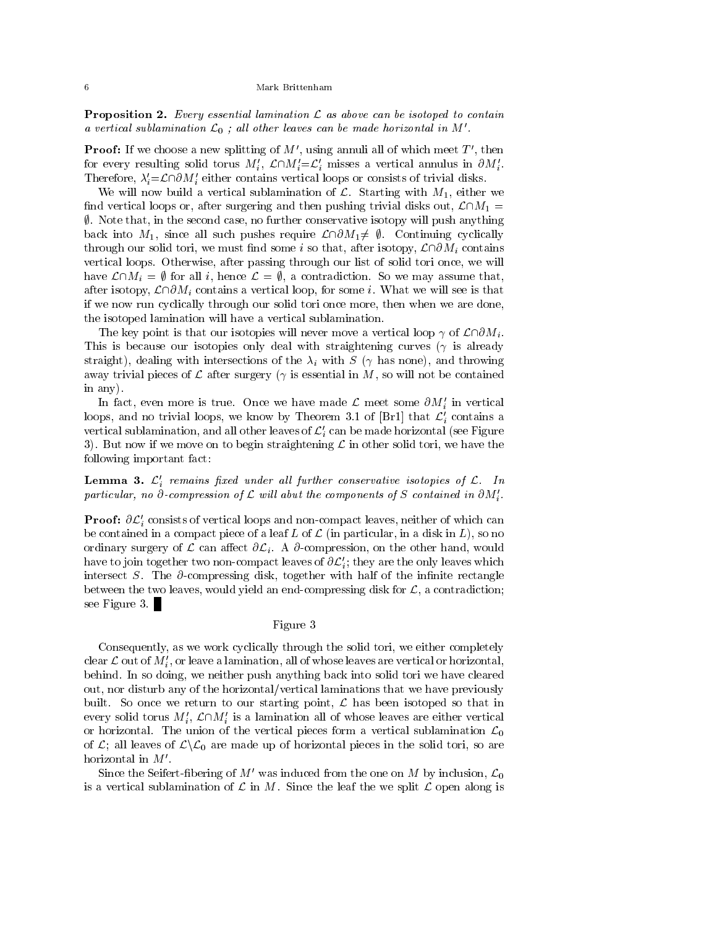**Proposition 2.** Every essential lamination  $\mathcal{L}$  as above can be isotoped to contain a vertical sublamination  $\mathcal{L}_0$ ; all other leaves can be made horizontal in M'.

**Proof:** If we choose a new splitting of  $M'$ , using annuli all of which meet  $T'$ , then for every resulting solid torus  $M_i, \mathcal{L} \square M_i = \mathcal{L}_i$  misses a vertical annulus in  $\partial M_i$ . Therefore,  $\lambda_i = \mathcal{L} \cap \partial M_i$  either contains vertical loops or consists of trivial disks.

We will now build a vertical sublamination of  $\mathcal{L}$ . Starting with  $M_1$ , either we find vertical loops or, after surgering and then pushing trivial disks out,  $\mathcal{L}\cap M_1 =$  $\emptyset$ . Note that, in the second case, no further conservative isotopy will push anything back into  $M_1$ , since all such pushes require  $\mathcal{L}\cap\partial M_1\neq\emptyset$ . Continuing cyclically through our solid tori, we must find some i so that, after isotopy,  $\mathcal{L} \cap \partial M_i$  contains vertical loops. Otherwise, after passing through our list of solid tori once, we will have  $\mathcal{L}\cap M_i = \emptyset$  for all i, hence  $\mathcal{L} = \emptyset$ , a contradiction. So we may assume that, after isotopy,  $\mathcal{L}\cap\partial M_i$  contains a vertical loop, for some i. What we will see is that if we now run cyclically through our solid tori once more, then when we are done, the isotoped lamination will have a vertical sublamination.

The key point is that our isotopies will never move a vertical loop  $\gamma$  of  $\mathcal{L}\cap\partial M_i$ . This is because our isotopies only deal with straightening curves  $(\gamma$  is already straight), dealing with intersections of the  $\lambda_i$  with S ( $\gamma$  has none), and throwing away trivial pieces of  $\mathcal L$  after surgery ( $\gamma$  is essential in M, so will not be contained in any).

In fact, even more is true. Once we have made  $\mathcal L$  meet some  $\partial M_i$  in vertical loops, and no trivial loops, we know by Theorem 3.1 of [Br1] that  $\mathcal{L}'_i$  contains a vertical sublamination, and all other leaves of  $\mathcal{L}'_i$  can be made horizontal (see Figure 3). But now if we move on to begin straightening  $\mathcal L$  in other solid tori, we have the following important fact:

**Lemma 3.**  $\mathcal{L}'_i$  remains fixed under all further conservative isotopies of  $\mathcal{L}$ . In particular, no  $o$ -compression of L will abut the components of S contained in OM $_i$ .

**Proof:**  $\partial \mathcal{L}'_i$  consists of vertical loops and non-compact leaves, neither of which can be contained in a compact piece of a leaf L of  $\mathcal L$  (in particular, in a disk in L), so no ordinary surgery of  $\mathcal L$  can affect  $\partial \mathcal L_i$ . A  $\partial$ -compression, on the other hand, would have to join together two non-compact leaves of  $\sigma\mathcal{L}_i$ ; they are the only leaves which intersect S. The  $\partial$ -compressing disk, together with half of the infinite rectangle between the two leaves, would yield an end-compressing disk for  $\mathcal{L}$ , a contradiction; see Figure 3.

# Figure 3

Consequently, as we work cyclically through the solid tori, we either completely clear  ${\cal L}$  out of  $M_i,$  or leave a lamination, all of whose leaves are vertical or horizontal, behind. In so doing, we neither push anything back into solid tori we have cleared out, nor disturb any of the horizontal/vertical laminations that we have previously built. So once we return to our starting point,  $\mathcal L$  has been isotoped so that in every solid torus  $m_i, \mathcal{L} \mid m_i$  is a lamination all of whose leaves are either vertical or horizontal. The union of the vertical pieces form a vertical sublamination  $\mathcal{L}_0$ of  $\mathcal{L}$ ; all leaves of  $\mathcal{L}\backslash\mathcal{L}_0$  are made up of horizontal pieces in the solid tori, so are horizontal in  $M'$ .

Since the Seifert-fibering of M' was induced from the one on M by inclusion,  $\mathcal{L}_0$ is a vertical sublamination of  $\mathcal L$  in M. Since the leaf the we split  $\mathcal L$  open along is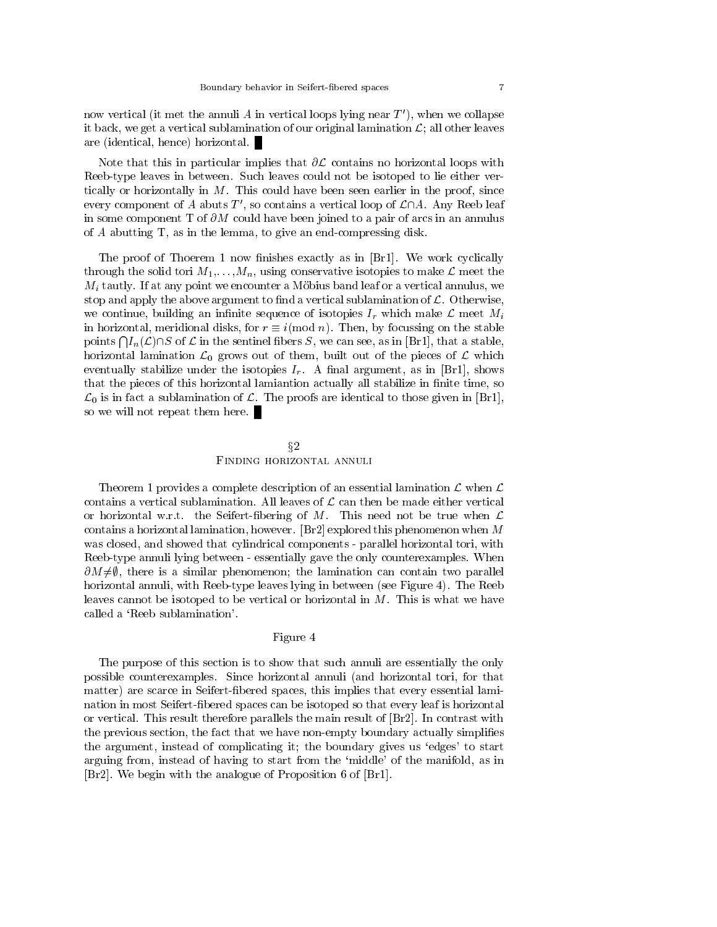now vertical (it met the annuli A in vertical loops lying near  $T'$ ), when we collapse it back, we get a vertical sublamination of our original lamination  $\mathcal{L}$ ; all other leaves are (identical, hence) horizontal.

Note that this in particular implies that  $\partial \mathcal{L}$  contains no horizontal loops with Reeb-type leaves in between. Such leaves could not be isotoped to lie either vertically or horizontally in  $M$ . This could have been seen earlier in the proof, since every component of A abuts  $T'$ , so contains a vertical loop of  $\mathcal{L}\cap A$ . Any Reeb leaf in some component T of  $\partial M$  could have been joined to a pair of arcs in an annulus of A abutting T, as in the lemma, to give an end-compressing disk.

The proof of Thoerem 1 now finishes exactly as in [Br1]. We work cyclically through the solid tori  $M_1,\ldots,M_n$ , using conservative isotopies to make  $\mathcal L$  meet the  $M_i$  tautly. If at any point we encounter a Möbius band leaf or a vertical annulus, we stop and apply the above argument to find a vertical sublamination of  $\mathcal{L}$ . Otherwise, we continue, building an infinite sequence of isotopies  $I_r$  which make  $\mathcal L$  meet  $M_i$ in horizontal, meridional disks, for  $r \equiv i \pmod{n}$ . Then, by focussing on the stable points  $\bigcap I_n(\mathcal{L})\cap S$  of  $\mathcal L$  in the sentinel fibers S, we can see, as in [Br1], that a stable, horizontal lamination  $\mathcal{L}_0$  grows out of them, built out of the pieces of  $\mathcal L$  which eventually stabilize under the isotopies  $I_r$ . A final argument, as in [Br1], shows that the pieces of this horizontal lamiantion actually all stabilize in finite time, so  $\mathcal{L}_0$  is in fact a sublamination of  $\mathcal{L}$ . The proofs are identical to those given in [Br1], so we will not repeat them here.

# $\S 2$ Finding horizontal annuli

Theorem 1 provides a complete description of an essential lamination  $\mathcal L$  when  $\mathcal L$ contains a vertical sublamination. All leaves of  $\mathcal L$  can then be made either vertical or horizontal w.r.t. the Seifert-fibering of M. This need not be true when  $\mathcal L$ contains a horizontal lamination, however. [Br2] explored this phenomenon when  $M$ was closed, and showed that cylindrical components - parallel horizontal tori, with Reeb-type annuli lying between - essentially gave the only counterexamples. When  $\partial M \neq \emptyset$ , there is a similar phenomenon; the lamination can contain two parallel horizontal annuli, with Reeb-type leaves lying in between (see Figure 4). The Reeb leaves cannot be isotoped to be vertical or horizontal in  $M$ . This is what we have called a `Reeb sublamination'.

# Figure 4

The purpose of this section is to show that such annuli are essentially the only possible counterexamples. Since horizontal annuli (and horizontal tori, for that matter) are scarce in Seifert-bered spaces, this implies that every essential lamination in most Seifert-bered spaces can be isotoped so that every leaf is horizontal or vertical. This result therefore parallels the main result of [Br2]. In contrast with the previous section, the fact that we have non-empty boundary actually simplies the argument, instead of complicating it; the boundary gives us 'edges' to start arguing from, instead of having to start from the `middle' of the manifold, as in [Br2]. We begin with the analogue of Proposition 6 of [Br1].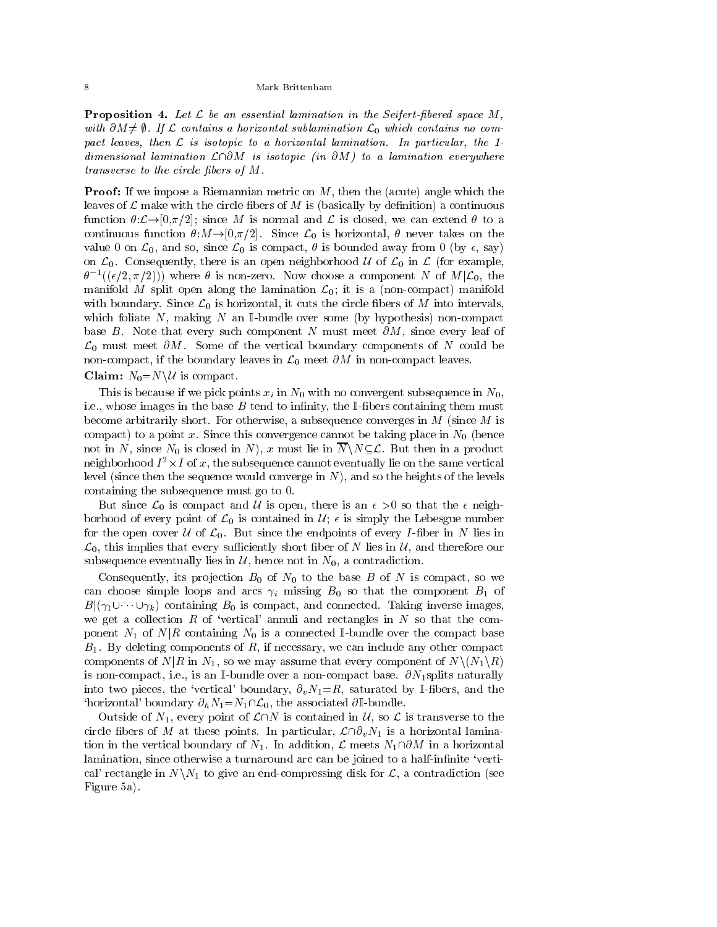**Proposition 4.** Let  $\mathcal{L}$  be an essential lamination in the Seifert-fibered space  $M$ , with  $Q_{M} \neq \emptyset$ . If L contains a horizontal subtainthation  $\mathcal{L}_{0}$  which contains no compact leaves, then <sup>L</sup> is isotopic to <sup>a</sup> horizontal lamination. In particular, the 1 dimensional lamination Lamination Lamination Line and the second continuation every where  $\alpha$ transverse to the circle bers of M.

**Proof:** If we impose a Riemannian metric on  $M$ , then the (acute) angle which the leaves of  $\mathcal L$  make with the circle fibers of M is (basically by definition) a continuous function  $\theta:\mathcal{L}\to[0,\pi/2]$ ; since M is normal and L is closed, we can extend  $\theta$  to a continuous function  $\theta: M \to [0,\pi/2]$ . Since  $\mathcal{L}_0$  is horizontal,  $\theta$  never takes on the value 0 on  $\mathcal{L}_0$ , and so, since  $\mathcal{L}_0$  is compact,  $\theta$  is bounded away from 0 (by  $\epsilon$ , say) on  $\mathcal{L}_0$ . Consequently, there is an open neighborhood U of  $\mathcal{L}_0$  in  $\mathcal{L}$  (for example,  $\sigma$   $\lceil (\epsilon/2, \pi/2) \rceil$  where  $\sigma$  is non-zero. Now choose a component *N* of *M*  $|L_0$ , the manifold M split open along the lamination  $\mathcal{L}_0$ ; it is a (non-compact) manifold with boundary. Since  $\mathcal{L}_0$  is horizontal, it cuts the circle fibers of M into intervals, which foliate N, making N an I-bundle over some (by hypothesis) non-compact base B. Note that every such component N must meet  $\partial M$ , since every leaf of  $\mathcal{L}_0$  must meet  $\partial M$ . Some of the vertical boundary components of N could be non-compact, if the boundary leaves in  $\mathcal{L}_0$  meet  $\partial M$  in non-compact leaves.

**Claim:**  $N_0 = N \backslash U$  is compact.

This is because if we pick points  $x_i$  in  $N_0$  with no convergent subsequence in  $N_0$ , i.e., whose images in the base  $B$  tend to infinity, the I-fibers containing them must become arbitrarily short. For otherwise, a subsequence converges in  $M$  (since  $M$  is compact) to a point x. Since this convergence cannot be taking place in  $N_0$  (hence not in N, since  $N_0$  is closed in N), x must lie in  $\overline{N}\setminus N\subseteq\mathcal{L}$ . But then in a product  $\rm{neig}$ hoo $\rm{u}$  of  $x$ ,  $\rm{o}$   $x$ , the subsequence cannot eventually he on the same vertical level (since then the sequence would converge in  $N$ ), and so the heights of the levels containing the subsequence must go to 0.

But since  $\mathcal{L}_0$  is compact and U is open, there is an  $\epsilon > 0$  so that the  $\epsilon$  neighborhood of every point of  $\mathcal{L}_0$  is contained in  $\mathcal{U}_i \in \mathcal{U}_i$  is simply the Lebesgue number for the open cover  $U$  of  $\mathcal{L}_0$ . But since the endpoints of every *I*-fiber in N lies in  $\mathcal{L}_0$ , this implies that every sufficiently short fiber of N lies in  $\mathcal{U}$ , and therefore our subsequence eventually lies in  $\mathcal{U}$ , hence not in  $N_0$ , a contradiction.

Consequently, its projection  $B_0$  of  $N_0$  to the base B of N is compact, so we can choose simple loops and arcs  $\gamma_i$  missing  $B_0$  so that the component  $B_1$  of  $B(\gamma_1 \cup \cdots \cup \gamma_k)$  containing  $B_0$  is compact, and connected. Taking inverse images, we get a collection R of 'vertical' annuli and rectangles in  $N$  so that the component  $N_1$  of  $N|R$  containing  $N_0$  is a connected I-bundle over the compact base  $B_1$ . By deleting components of  $R$ , if necessary, we can include any other compact components of  $N|R$  in  $N_1$ , so we may assume that every component of  $N\setminus (N_1\setminus R)$ is non-compact, i.e., is an I-bundle over a non-compact base.  $\partial N_1$ splits naturally into two pieces, the 'vertical' boundary,  $\partial_v N_1 = R$ , saturated by I-fibers, and the 'horizontal' boundary  $\partial_h N_1 = N_1 \cap \mathcal{L}_0$ , the associated  $\partial \mathbb{I}$ -bundle.

Outside of  $N_1$ , every point of  $\mathcal{L}\cap N$  is contained in  $\mathcal{U}$ , so  $\mathcal{L}$  is transverse to the circle fibers of M at these points. In particular,  $\mathcal{L}\cap\partial_{\nu}N_1$  is a horizontal lamination in the vertical boundary of  $N_1$ . In addition,  $\mathcal L$  meets  $N_1\cap\partial M$  in a horizontal lamination, since otherwise a turnaround arc can be joined to a half-infinite 'vertical' rectangle in  $N\backslash N_1$  to give an end-compressing disk for  $\mathcal{L}$ , a contradiction (see Figure 5a).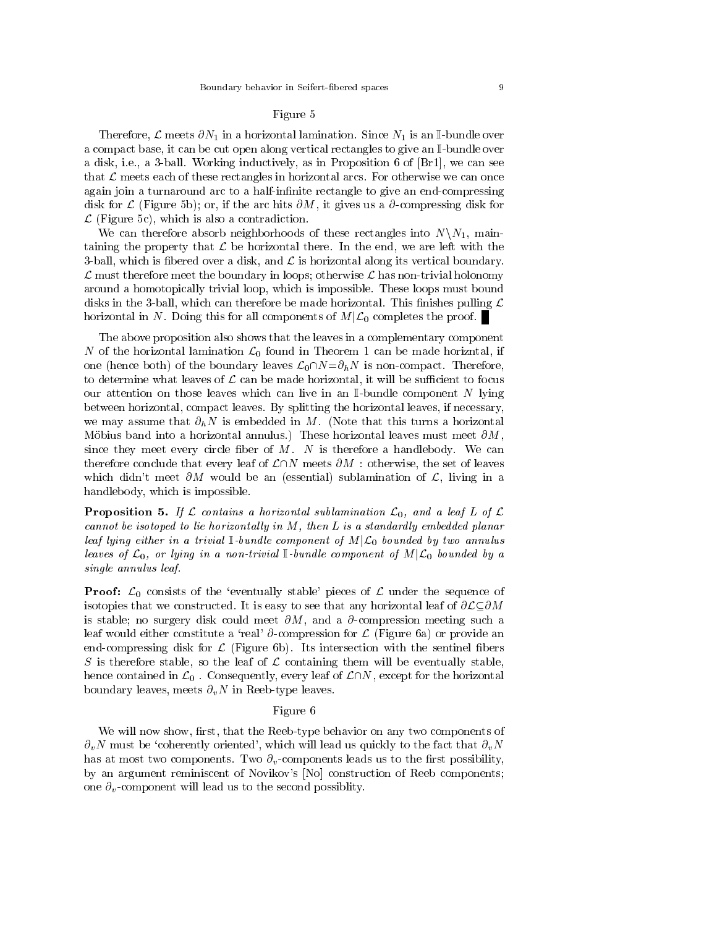# Figure 5

Therefore,  $\mathcal L$  meets  $\partial N_1$  in a horizontal lamination. Since  $N_1$  is an I-bundle over a compact base, it can be cut open along vertical rectangles to give an I-bundle over a disk, i.e., a 3-ball. Working inductively, as in Proposition 6 of [Br1], we can see that  $\mathcal L$  meets each of these rectangles in horizontal arcs. For otherwise we can once again join a turnaround arc to a half-infinite rectangle to give an end-compressing disk for  $\mathcal L$  (Figure 5b); or, if the arc hits  $\partial M$ , it gives us a  $\partial$ -compressing disk for  $\mathcal{L}$  (Figure 5c), which is also a contradiction.

We can therefore absorb neighborhoods of these rectangles into  $N\setminus N_1$ , maintaining the property that  $\mathcal L$  be horizontal there. In the end, we are left with the 3-ball, which is fibered over a disk, and  $\mathcal L$  is horizontal along its vertical boundary.  $\mathcal L$  must therefore meet the boundary in loops; otherwise  $\mathcal L$  has non-trivial holonomy around a homotopically trivial loop, which is impossible. These loops must bound disks in the 3-ball, which can therefore be made horizontal. This finishes pulling  $\mathcal L$ horizontal in N. Doing this for all components of  $M|\mathcal{L}_0$  completes the proof.

The above proposition also shows that the leaves in a complementary component N of the horizontal lamination  $\mathcal{L}_0$  found in Theorem 1 can be made horizntal, if one (hence both) of the boundary leaves  $\mathcal{L}_0\cap N=\partial_hN$  is non-compact. Therefore, to determine what leaves of  $\mathcal L$  can be made horizontal, it will be sufficient to focus our attention on those leaves which can live in an  $\mathbb{I}\text{-bundle component }N$  lying between horizontal, compact leaves. By splitting the horizontal leaves, if necessary, we may assume that  $\partial_h N$  is embedded in M. (Note that this turns a horizontal Möbius band into a horizontal annulus.) These horizontal leaves must meet  $\partial M$ , since they meet every circle fiber of  $M$ . N is therefore a handlebody. We can therefore conclude that every leaf of  $\mathcal{L}\cap N$  meets  $\partial M$  : otherwise, the set of leaves which didn't meet  $\partial M$  would be an (essential) sublamination of  $\mathcal{L}$ , living in a handlebody, which is impossible.

**Proposition 5.** If L contains a horizontal sublamination  $\mathcal{L}_0$ , and a leaf L of L cannot be isotoped to lie horizontal ly in M, then L is a standard ly embedded planar leaf lying either in <sup>a</sup> trivial I-bund le component of <sup>M</sup>jL0 bounded by two annulus leaves of L0, or lying in <sup>a</sup> non-trivial I-bund le component of <sup>M</sup>jL0 bounded by <sup>a</sup> single annulus leaf.

**Proof:**  $\mathcal{L}_0$  consists of the 'eventually stable' pieces of  $\mathcal{L}$  under the sequence of isotopies that we constructed. It is easy to see that any horizontal leaf of  $\partial \mathcal{L} \subseteq \partial M$ is stable; no surgery disk could meet  $\partial M$ , and a  $\partial$ -compression meeting such a leaf would either constitute a 'real'  $\partial$ -compression for  $\mathcal L$  (Figure 6a) or provide an end-compressing disk for  $\mathcal L$  (Figure 6b). Its intersection with the sentinel fibers S is therefore stable, so the leaf of  $\mathcal L$  containing them will be eventually stable, hence contained in  $\mathcal{L}_0$ . Consequently, every leaf of  $\mathcal{L}\cap N$ , except for the horizontal boundary leaves, meets  $\partial_v N$  in Reeb-type leaves.

#### Figure 6

We will now show, first, that the Reeb-type behavior on any two components of  $\partial_v N$  must be 'coherently oriented', which will lead us quickly to the fact that  $\partial_v N$ has at most two components. Two  $\partial_v$ -components leads us to the first possibility, by an argument reminiscent of Novikov's [No] construction of Reeb components; one  $\partial_{\nu}$ -component will lead us to the second possiblity.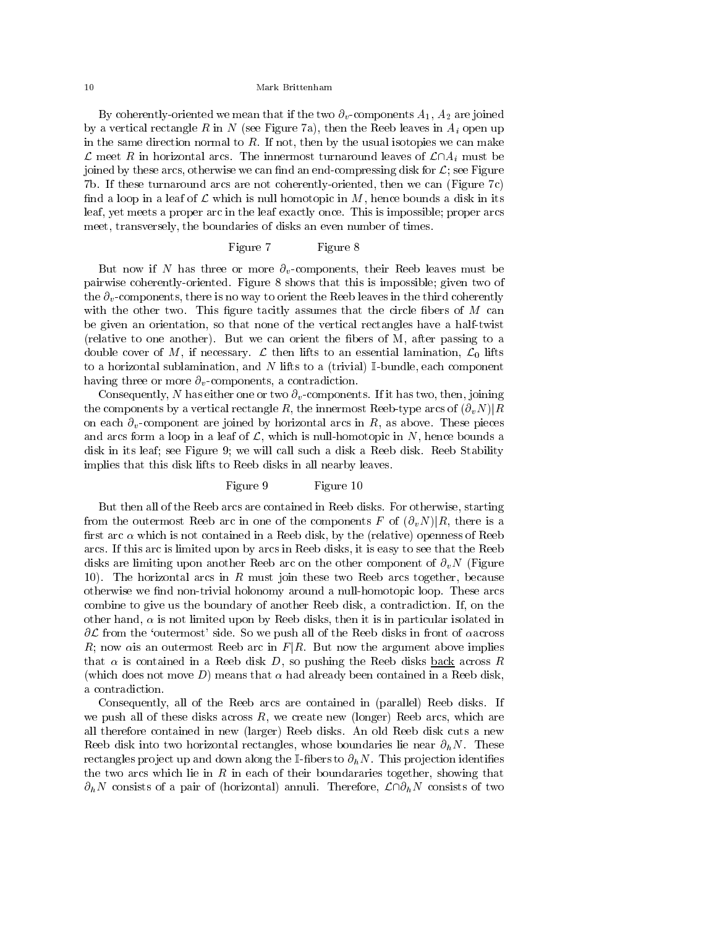By coherently-oriented we mean that if the two  $\partial_v$ -components  $A_1, A_2$  are joined by a vertical rectangle R in N (see Figure 7a), then the Reeb leaves in  $A_i$  open up in the same direction normal to  $R$ . If not, then by the usual isotopies we can make  $\mathcal L$  meet R in horizontal arcs. The innermost turnaround leaves of  $\mathcal L\cap A_i$  must be joined by these arcs, otherwise we can find an end-compressing disk for  $\mathcal{L}$ ; see Figure 7b. If these turnaround arcs are not coherently-oriented, then we can (Figure 7c) find a loop in a leaf of  $\mathcal L$  which is null homotopic in M, hence bounds a disk in its leaf, yet meets a proper arc in the leaf exactly once. This is impossible; proper arcs meet, transversely, the boundaries of disks an even number of times.

## Figure 7 Figure 8

But now if N has three or more  $\partial_{v}$ -components, their Reeb leaves must be pairwise coherently-oriented. Figure 8 shows that this is impossible; given two of the  $\partial_v$ -components, there is no way to orient the Reeb leaves in the third coherently with the other two. This figure tacitly assumes that the circle fibers of  $M$  can be given an orientation, so that none of the vertical rectangles have a half-twist (relative to one another). But we can orient the bers of M, after passing to a double cover of M, if necessary.  $\mathcal L$  then lifts to an essential lamination,  $\mathcal L_0$  lifts to a horizontal sublamination, and N lifts to a (trivial)  $\mathbb{I}\text{-bundle}$ , each component having three or more  $\partial_v$ -components, a contradiction.

Consequently, N has either one or two  $\partial_{\nu}$ -components. If it has two, then, joining the components by a vertical rectangle R, the innermost Reeb-type arcs of  $(\partial_v N)|R$ on each  $\partial_v$ -component are joined by horizontal arcs in R, as above. These pieces and arcs form a loop in a leaf of  $\mathcal{L}$ , which is null-homotopic in N, hence bounds a disk in its leaf; see Figure 9; we will call such a disk a Reeb disk. Reeb Stability implies that this disk lifts to Reeb disks in all nearby leaves.

## Figure 9 Figure 10

But then all of the Reeb arcs are contained in Reeb disks. For otherwise, starting from the outermost Reeb arc in one of the components F of  $(\partial_v N)|R$ , there is a first arc  $\alpha$  which is not contained in a Reeb disk, by the (relative) openness of Reeb arcs. If this arc is limited upon by arcs in Reeb disks, it is easy to see that the Reeb disks are limiting upon another Reeb arc on the other component of  $\partial_v N$  (Figure 10). The horizontal arcs in R must join these two Reeb arcs together, because otherwise we find non-trivial holonomy around a null-homotopic loop. These arcs combine to give us the boundary of another Reeb disk, a contradiction. If, on the other hand,  $\alpha$  is not limited upon by Reeb disks, then it is in particular isolated in  $\partial \mathcal{L}$  from the 'outermost' side. So we push all of the Reeb disks in front of accross R; now als an outermost Reeb arc in  $F|R$ . But now the argument above implies that  $\alpha$  is contained in a Reeb disk D, so pushing the Reeb disks back across R (which does not move D) means that  $\alpha$  had already been contained in a Reeb disk, a contradiction.

Consequently, all of the Reeb arcs are contained in (parallel) Reeb disks. If we push all of these disks across  $R$ , we create new (longer) Reeb arcs, which are all therefore contained in new (larger) Reeb disks. An old Reeb disk cuts a new Reeb disk into two horizontal rectangles, whose boundaries lie near  $\partial_h N$ . These rectangles project up and down along the I-fibers to  $\partial_h N$ . This projection identifies the two arcs which lie in  $R$  in each of their boundararies together, showing that  $\partial_h N$  consists of a pair of (horizontal) annuli. Therefore,  $\mathcal{L} \cap \partial_h N$  consists of two